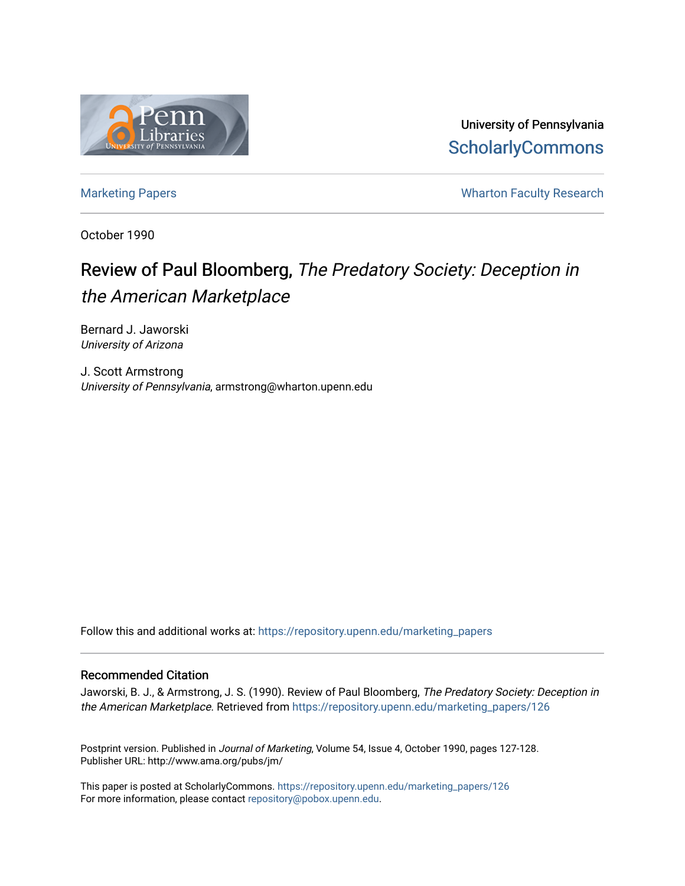

University of Pennsylvania **ScholarlyCommons** 

[Marketing Papers](https://repository.upenn.edu/marketing_papers) **Marketing Papers Marketing Papers Wharton Faculty Research** 

October 1990

# Review of Paul Bloomberg, The Predatory Society: Deception in the American Marketplace

Bernard J. Jaworski University of Arizona

J. Scott Armstrong University of Pennsylvania, armstrong@wharton.upenn.edu

Follow this and additional works at: [https://repository.upenn.edu/marketing\\_papers](https://repository.upenn.edu/marketing_papers?utm_source=repository.upenn.edu%2Fmarketing_papers%2F126&utm_medium=PDF&utm_campaign=PDFCoverPages)

#### Recommended Citation

Jaworski, B. J., & Armstrong, J. S. (1990). Review of Paul Bloomberg, The Predatory Society: Deception in the American Marketplace. Retrieved from https://repository.upenn.edu/marketing\_papers/126

Postprint version. Published in Journal of Marketing, Volume 54, Issue 4, October 1990, pages 127-128. Publisher URL: http://www.ama.org/pubs/jm/

This paper is posted at ScholarlyCommons. [https://repository.upenn.edu/marketing\\_papers/126](https://repository.upenn.edu/marketing_papers/126)  For more information, please contact [repository@pobox.upenn.edu.](mailto:repository@pobox.upenn.edu)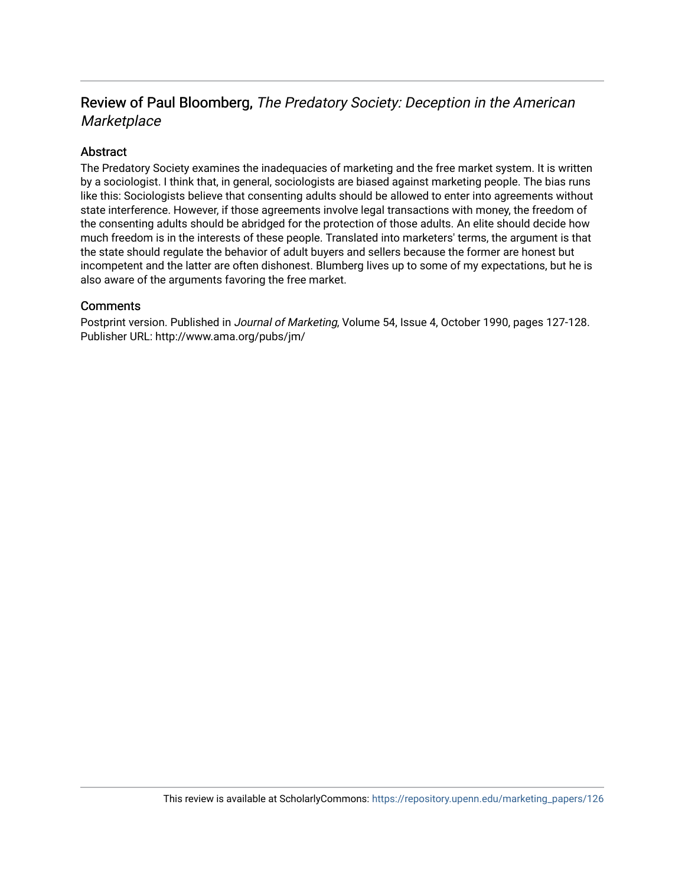## Review of Paul Bloomberg, The Predatory Society: Deception in the American **Marketplace**

## Abstract

The Predatory Society examines the inadequacies of marketing and the free market system. It is written by a sociologist. I think that, in general, sociologists are biased against marketing people. The bias runs like this: Sociologists believe that consenting adults should be allowed to enter into agreements without state interference. However, if those agreements involve legal transactions with money, the freedom of the consenting adults should be abridged for the protection of those adults. An elite should decide how much freedom is in the interests of these people. Translated into marketers' terms, the argument is that the state should regulate the behavior of adult buyers and sellers because the former are honest but incompetent and the latter are often dishonest. Blumberg lives up to some of my expectations, but he is also aware of the arguments favoring the free market.

#### **Comments**

Postprint version. Published in Journal of Marketing, Volume 54, Issue 4, October 1990, pages 127-128. Publisher URL: http://www.ama.org/pubs/jm/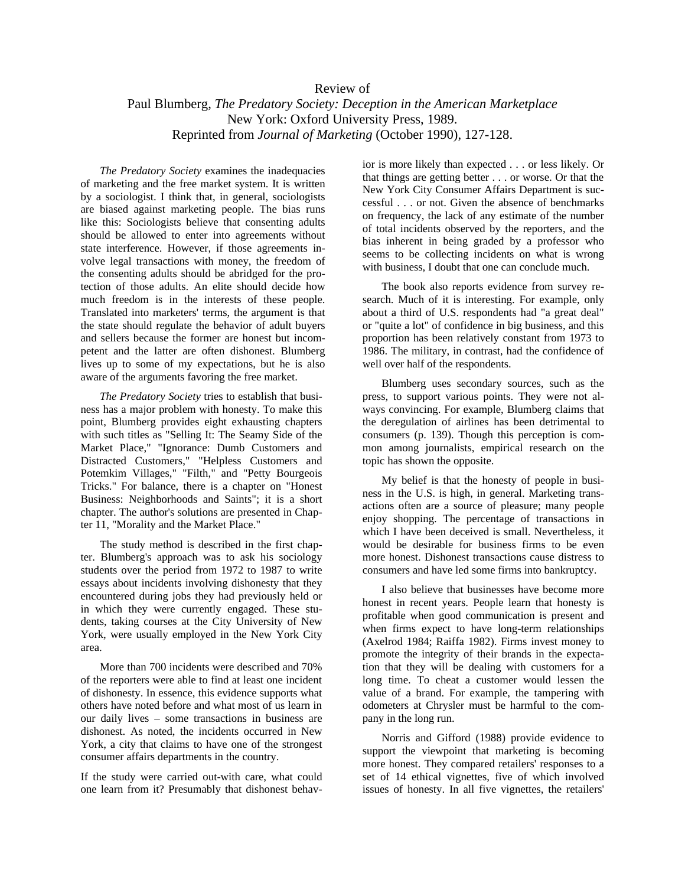### Review of Paul Blumberg, *The Predatory Society: Deception in the American Marketplace* New York: Oxford University Press, 1989. Reprinted from *Journal of Marketing* (October 1990), 127-128.

*The Predatory Society* examines the inadequacies of marketing and the free market system. It is written by a sociologist. I think that, in general, sociologists are biased against marketing people. The bias runs like this: Sociologists believe that consenting adults should be allowed to enter into agreements without state interference. However, if those agreements involve legal transactions with money, the freedom of the consenting adults should be abridged for the protection of those adults. An elite should decide how much freedom is in the interests of these people. Translated into marketers' terms, the argument is that the state should regulate the behavior of adult buyers and sellers because the former are honest but incompetent and the latter are often dishonest. Blumberg lives up to some of my expectations, but he is also aware of the arguments favoring the free market.

*The Predatory Society* tries to establish that business has a major problem with honesty. To make this point, Blumberg provides eight exhausting chapters with such titles as "Selling It: The Seamy Side of the Market Place," "Ignorance: Dumb Customers and Distracted Customers," "Helpless Customers and Potemkim Villages," "Filth," and "Petty Bourgeois Tricks." For balance, there is a chapter on "Honest Business: Neighborhoods and Saints"; it is a short chapter. The author's solutions are presented in Chapter 11, "Morality and the Market Place."

The study method is described in the first chapter. Blumberg's approach was to ask his sociology students over the period from 1972 to 1987 to write essays about incidents involving dishonesty that they encountered during jobs they had previously held or in which they were currently engaged. These students, taking courses at the City University of New York, were usually employed in the New York City area.

More than 700 incidents were described and 70% of the reporters were able to find at least one incident of dishonesty. In essence, this evidence supports what others have noted before and what most of us learn in our daily lives – some transactions in business are dishonest. As noted, the incidents occurred in New York, a city that claims to have one of the strongest consumer affairs departments in the country.

If the study were carried out-with care, what could one learn from it? Presumably that dishonest behavior is more likely than expected . . . or less likely. Or that things are getting better . . . or worse. Or that the New York City Consumer Affairs Department is successful . . . or not. Given the absence of benchmarks on frequency, the lack of any estimate of the number of total incidents observed by the reporters, and the bias inherent in being graded by a professor who seems to be collecting incidents on what is wrong with business, I doubt that one can conclude much.

The book also reports evidence from survey research. Much of it is interesting. For example, only about a third of U.S. respondents had "a great deal" or "quite a lot" of confidence in big business, and this proportion has been relatively constant from 1973 to 1986. The military, in contrast, had the confidence of well over half of the respondents.

Blumberg uses secondary sources, such as the press, to support various points. They were not always convincing. For example, Blumberg claims that the deregulation of airlines has been detrimental to consumers (p. 139). Though this perception is common among journalists, empirical research on the topic has shown the opposite.

My belief is that the honesty of people in business in the U.S. is high, in general. Marketing transactions often are a source of pleasure; many people enjoy shopping. The percentage of transactions in which I have been deceived is small. Nevertheless, it would be desirable for business firms to be even more honest. Dishonest transactions cause distress to consumers and have led some firms into bankruptcy.

I also believe that businesses have become more honest in recent years. People learn that honesty is profitable when good communication is present and when firms expect to have long-term relationships (Axelrod 1984; Raiffa 1982). Firms invest money to promote the integrity of their brands in the expectation that they will be dealing with customers for a long time. To cheat a customer would lessen the value of a brand. For example, the tampering with odometers at Chrysler must be harmful to the company in the long run.

Norris and Gifford (1988) provide evidence to support the viewpoint that marketing is becoming more honest. They compared retailers' responses to a set of 14 ethical vignettes, five of which involved issues of honesty. In all five vignettes, the retailers'